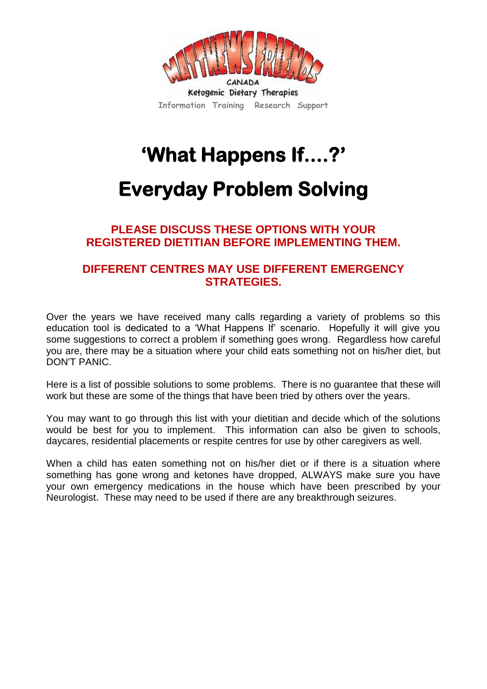

# **'What Happens If....?'**

## **Everyday Problem Solving**

## **PLEASE DISCUSS THESE OPTIONS WITH YOUR REGISTERED DIETITIAN BEFORE IMPLEMENTING THEM.**

## **DIFFERENT CENTRES MAY USE DIFFERENT EMERGENCY STRATEGIES.**

Over the years we have received many calls regarding a variety of problems so this education tool is dedicated to a 'What Happens If' scenario. Hopefully it will give you some suggestions to correct a problem if something goes wrong. Regardless how careful you are, there may be a situation where your child eats something not on his/her diet, but DON'T PANIC.

Here is a list of possible solutions to some problems. There is no guarantee that these will work but these are some of the things that have been tried by others over the years.

You may want to go through this list with your dietitian and decide which of the solutions would be best for you to implement. This information can also be given to schools, daycares, residential placements or respite centres for use by other caregivers as well.

When a child has eaten something not on his/her diet or if there is a situation where something has gone wrong and ketones have dropped, ALWAYS make sure you have your own emergency medications in the house which have been prescribed by your Neurologist. These may need to be used if there are any breakthrough seizures.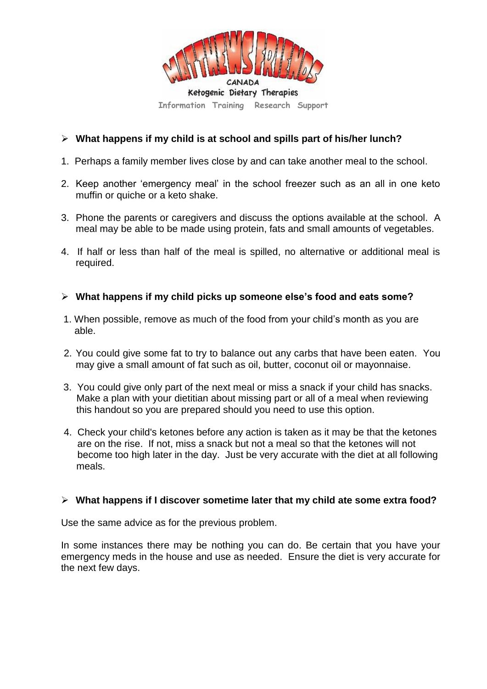

#### **What happens if my child is at school and spills part of his/her lunch?**

- 1. Perhaps a family member lives close by and can take another meal to the school.
- 2. Keep another 'emergency meal' in the school freezer such as an all in one keto muffin or quiche or a keto shake.
- 3. Phone the parents or caregivers and discuss the options available at the school. A meal may be able to be made using protein, fats and small amounts of vegetables.
- 4. If half or less than half of the meal is spilled, no alternative or additional meal is required.

#### **What happens if my child picks up someone else's food and eats some?**

- 1. When possible, remove as much of the food from your child's month as you are able.
- 2. You could give some fat to try to balance out any carbs that have been eaten. You may give a small amount of fat such as oil, butter, coconut oil or mayonnaise.
- 3. You could give only part of the next meal or miss a snack if your child has snacks. Make a plan with your dietitian about missing part or all of a meal when reviewing this handout so you are prepared should you need to use this option.
- 4. Check your child's ketones before any action is taken as it may be that the ketones are on the rise. If not, miss a snack but not a meal so that the ketones will not become too high later in the day. Just be very accurate with the diet at all following meals.

#### **What happens if I discover sometime later that my child ate some extra food?**

Use the same advice as for the previous problem.

In some instances there may be nothing you can do. Be certain that you have your emergency meds in the house and use as needed. Ensure the diet is very accurate for the next few days.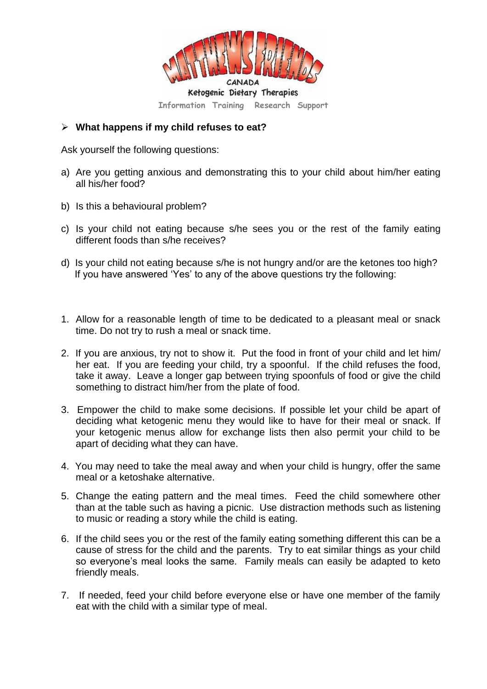

#### **What happens if my child refuses to eat?**

Ask yourself the following questions:

- a) Are you getting anxious and demonstrating this to your child about him/her eating all his/her food?
- b) Is this a behavioural problem?
- c) Is your child not eating because s/he sees you or the rest of the family eating different foods than s/he receives?
- d) Is your child not eating because s/he is not hungry and/or are the ketones too high? If you have answered 'Yes' to any of the above questions try the following:
- 1. Allow for a reasonable length of time to be dedicated to a pleasant meal or snack time. Do not try to rush a meal or snack time.
- 2. If you are anxious, try not to show it. Put the food in front of your child and let him/ her eat. If you are feeding your child, try a spoonful. If the child refuses the food, take it away. Leave a longer gap between trying spoonfuls of food or give the child something to distract him/her from the plate of food.
- 3. Empower the child to make some decisions. If possible let your child be apart of deciding what ketogenic menu they would like to have for their meal or snack. If your ketogenic menus allow for exchange lists then also permit your child to be apart of deciding what they can have.
- 4. You may need to take the meal away and when your child is hungry, offer the same meal or a ketoshake alternative.
- 5. Change the eating pattern and the meal times. Feed the child somewhere other than at the table such as having a picnic. Use distraction methods such as listening to music or reading a story while the child is eating.
- 6. If the child sees you or the rest of the family eating something different this can be a cause of stress for the child and the parents. Try to eat similar things as your child so everyone's meal looks the same. Family meals can easily be adapted to keto friendly meals.
- 7. If needed, feed your child before everyone else or have one member of the family eat with the child with a similar type of meal.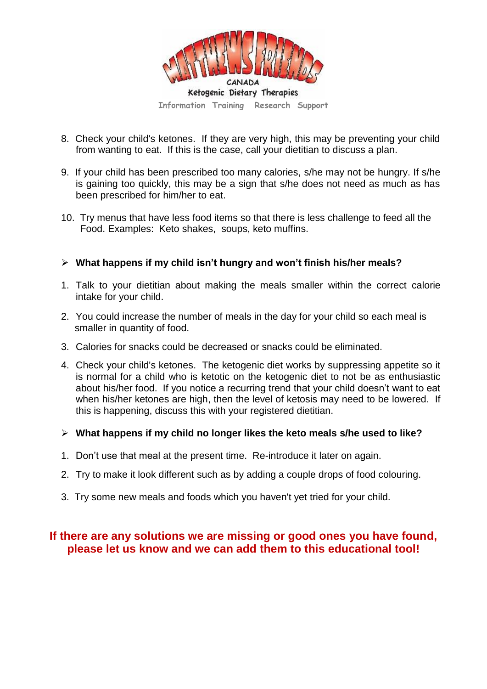

- 8. Check your child's ketones. If they are very high, this may be preventing your child from wanting to eat. If this is the case, call your dietitian to discuss a plan.
- 9. If your child has been prescribed too many calories, s/he may not be hungry. If s/he is gaining too quickly, this may be a sign that s/he does not need as much as has been prescribed for him/her to eat.
- 10. Try menus that have less food items so that there is less challenge to feed all the Food. Examples: Keto shakes, soups, keto muffins.

#### **What happens if my child isn't hungry and won't finish his/her meals?**

- 1. Talk to your dietitian about making the meals smaller within the correct calorie intake for your child.
- 2. You could increase the number of meals in the day for your child so each meal is smaller in quantity of food.
- 3. Calories for snacks could be decreased or snacks could be eliminated.
- 4. Check your child's ketones. The ketogenic diet works by suppressing appetite so it is normal for a child who is ketotic on the ketogenic diet to not be as enthusiastic about his/her food. If you notice a recurring trend that your child doesn't want to eat when his/her ketones are high, then the level of ketosis may need to be lowered. If this is happening, discuss this with your registered dietitian.
- **What happens if my child no longer likes the keto meals s/he used to like?**
- 1. Don't use that meal at the present time. Re-introduce it later on again.
- 2. Try to make it look different such as by adding a couple drops of food colouring.
- 3. Try some new meals and foods which you haven't yet tried for your child.

### **If there are any solutions we are missing or good ones you have found, please let us know and we can add them to this educational tool!**